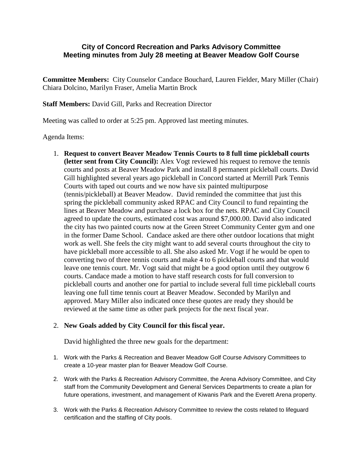## **City of Concord Recreation and Parks Advisory Committee Meeting minutes from July 28 meeting at Beaver Meadow Golf Course**

**Committee Members:** City Counselor Candace Bouchard, Lauren Fielder, Mary Miller (Chair) Chiara Dolcino, Marilyn Fraser, Amelia Martin Brock

**Staff Members:** David Gill, Parks and Recreation Director

Meeting was called to order at 5:25 pm. Approved last meeting minutes.

Agenda Items:

1. **Request to convert Beaver Meadow Tennis Courts to 8 full time pickleball courts (letter sent from City Council):** Alex Vogt reviewed his request to remove the tennis courts and posts at Beaver Meadow Park and install 8 permanent pickleball courts. David Gill highlighted several years ago pickleball in Concord started at Merrill Park Tennis Courts with taped out courts and we now have six painted multipurpose (tennis/pickleball) at Beaver Meadow. David reminded the committee that just this spring the pickleball community asked RPAC and City Council to fund repainting the lines at Beaver Meadow and purchase a lock box for the nets. RPAC and City Council agreed to update the courts, estimated cost was around \$7,000.00. David also indicated the city has two painted courts now at the Green Street Community Center gym and one in the former Dame School. Candace asked are there other outdoor locations that might work as well. She feels the city might want to add several courts throughout the city to have pickleball more accessible to all. She also asked Mr. Vogt if he would be open to converting two of three tennis courts and make 4 to 6 pickleball courts and that would leave one tennis court. Mr. Vogt said that might be a good option until they outgrow 6 courts. Candace made a motion to have staff research costs for full conversion to pickleball courts and another one for partial to include several full time pickleball courts leaving one full time tennis court at Beaver Meadow. Seconded by Marilyn and approved. Mary Miller also indicated once these quotes are ready they should be reviewed at the same time as other park projects for the next fiscal year.

## 2. **New Goals added by City Council for this fiscal year.**

David highlighted the three new goals for the department:

- 1. Work with the Parks & Recreation and Beaver Meadow Golf Course Advisory Committees to create a 10-year master plan for Beaver Meadow Golf Course.
- 2. Work with the Parks & Recreation Advisory Committee, the Arena Advisory Committee, and City staff from the Community Development and General Services Departments to create a plan for future operations, investment, and management of Kiwanis Park and the Everett Arena property.
- 3. Work with the Parks & Recreation Advisory Committee to review the costs related to lifeguard certification and the staffing of City pools.